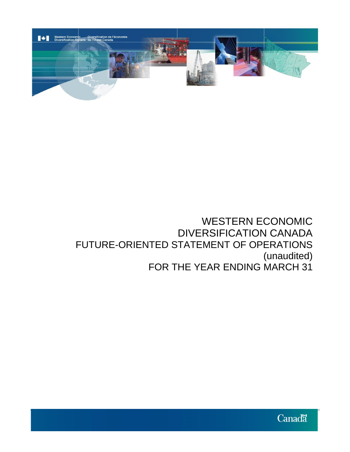

# WESTERN ECONOMIC DIVERSIFICATION CANADA FUTURE-ORIENTED STATEMENT OF OPERATIONS (unaudited) FOR THE YEAR ENDING MARCH 31

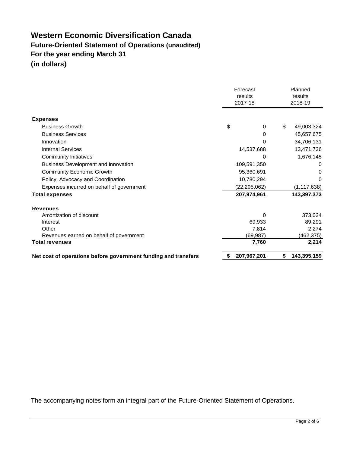# **Western Economic Diversification Canada Future-Oriented Statement of Operations (unaudited) For the year ending March 31 (in dollars)**

|                                                                | Forecast<br>results<br>2017-18 |                |    | Planned<br>results<br>2018-19 |  |
|----------------------------------------------------------------|--------------------------------|----------------|----|-------------------------------|--|
| <b>Expenses</b>                                                |                                |                |    |                               |  |
| <b>Business Growth</b>                                         | \$                             | $\Omega$       | \$ | 49,003,324                    |  |
| <b>Business Services</b>                                       |                                | 0              |    | 45,657,675                    |  |
| Innovation                                                     |                                | 0              |    |                               |  |
| <b>Internal Services</b>                                       |                                |                |    | 34,706,131                    |  |
|                                                                |                                | 14,537,688     |    | 13,471,736                    |  |
| <b>Community Initiatives</b>                                   |                                | 0              |    | 1,676,145                     |  |
| Business Development and Innovation                            |                                | 109,591,350    |    | 0                             |  |
| <b>Community Economic Growth</b>                               |                                | 95,360,691     |    | 0                             |  |
| Policy, Advocacy and Coordination                              |                                | 10,780,294     |    | 0                             |  |
| Expenses incurred on behalf of government                      |                                | (22, 295, 062) |    | (1, 117, 638)                 |  |
| <b>Total expenses</b>                                          |                                | 207,974,961    |    | 143,397,373                   |  |
| <b>Revenues</b>                                                |                                |                |    |                               |  |
| Amortization of discount                                       |                                | 0              |    | 373,024                       |  |
| Interest                                                       |                                | 69,933         |    | 89,291                        |  |
| Other                                                          |                                | 7,814          |    | 2,274                         |  |
| Revenues earned on behalf of government                        |                                | (69, 987)      |    | (462, 375)                    |  |
| <b>Total revenues</b>                                          |                                | 7,760          |    | 2,214                         |  |
| Net cost of operations before government funding and transfers | S                              | 207,967,201    | \$ | 143,395,159                   |  |

The accompanying notes form an integral part of the Future-Oriented Statement of Operations.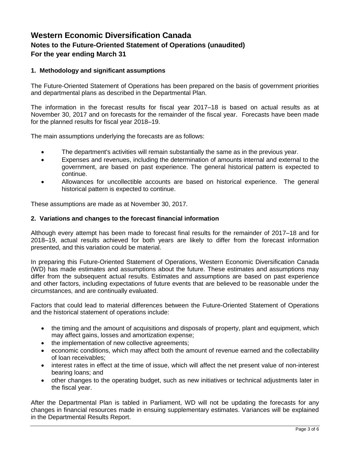## **Western Economic Diversification Canada Notes to the Future-Oriented Statement of Operations (unaudited) For the year ending March 31**

#### **1. Methodology and significant assumptions**

The Future-Oriented Statement of Operations has been prepared on the basis of government priorities and departmental plans as described in the Departmental Plan.

The information in the forecast results for fiscal year 2017–18 is based on actual results as at November 30, 2017 and on forecasts for the remainder of the fiscal year. Forecasts have been made for the planned results for fiscal year 2018–19.

The main assumptions underlying the forecasts are as follows:

- The department's activities will remain substantially the same as in the previous year.
- Expenses and revenues, including the determination of amounts internal and external to the government, are based on past experience. The general historical pattern is expected to continue.
- Allowances for uncollectible accounts are based on historical experience. The general historical pattern is expected to continue.

These assumptions are made as at November 30, 2017.

#### **2. Variations and changes to the forecast financial information**

Although every attempt has been made to forecast final results for the remainder of 2017–18 and for 2018–19, actual results achieved for both years are likely to differ from the forecast information presented, and this variation could be material.

In preparing this Future-Oriented Statement of Operations, Western Economic Diversification Canada (WD) has made estimates and assumptions about the future. These estimates and assumptions may differ from the subsequent actual results. Estimates and assumptions are based on past experience and other factors, including expectations of future events that are believed to be reasonable under the circumstances, and are continually evaluated.

Factors that could lead to material differences between the Future-Oriented Statement of Operations and the historical statement of operations include:

- the timing and the amount of acquisitions and disposals of property, plant and equipment, which may affect gains, losses and amortization expense;
- the implementation of new collective agreements;
- economic conditions, which may affect both the amount of revenue earned and the collectability of loan receivables;
- interest rates in effect at the time of issue, which will affect the net present value of non-interest bearing loans; and
- other changes to the operating budget, such as new initiatives or technical adjustments later in the fiscal year.

After the Departmental Plan is tabled in Parliament, WD will not be updating the forecasts for any changes in financial resources made in ensuing supplementary estimates. Variances will be explained in the Departmental Results Report.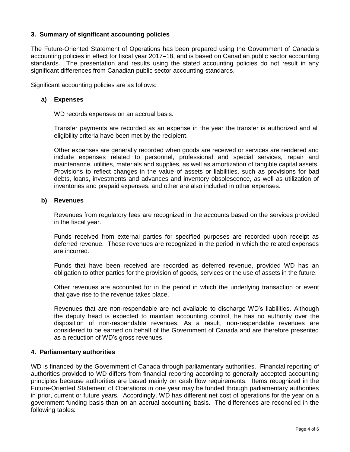#### **3. Summary of significant accounting policies**

The Future-Oriented Statement of Operations has been prepared using the Government of Canada's accounting policies in effect for fiscal year 2017–18, and is based on Canadian public sector accounting standards. The presentation and results using the stated accounting policies do not result in any significant differences from Canadian public sector accounting standards.

Significant accounting policies are as follows:

#### **a) Expenses**

WD records expenses on an accrual basis.

Transfer payments are recorded as an expense in the year the transfer is authorized and all eligibility criteria have been met by the recipient.

Other expenses are generally recorded when goods are received or services are rendered and include expenses related to personnel, professional and special services, repair and maintenance, utilities, materials and supplies, as well as amortization of tangible capital assets. Provisions to reflect changes in the value of assets or liabilities, such as provisions for bad debts, loans, investments and advances and inventory obsolescence, as well as utilization of inventories and prepaid expenses, and other are also included in other expenses.

#### **b) Revenues**

Revenues from regulatory fees are recognized in the accounts based on the services provided in the fiscal year.

Funds received from external parties for specified purposes are recorded upon receipt as deferred revenue. These revenues are recognized in the period in which the related expenses are incurred.

Funds that have been received are recorded as deferred revenue, provided WD has an obligation to other parties for the provision of goods, services or the use of assets in the future.

Other revenues are accounted for in the period in which the underlying transaction or event that gave rise to the revenue takes place.

Revenues that are non-respendable are not available to discharge WD's liabilities. Although the deputy head is expected to maintain accounting control, he has no authority over the disposition of non-respendable revenues. As a result, non-respendable revenues are considered to be earned on behalf of the Government of Canada and are therefore presented as a reduction of WD's gross revenues.

#### **4. Parliamentary authorities**

WD is financed by the Government of Canada through parliamentary authorities. Financial reporting of authorities provided to WD differs from financial reporting according to generally accepted accounting principles because authorities are based mainly on cash flow requirements. Items recognized in the Future-Oriented Statement of Operations in one year may be funded through parliamentary authorities in prior, current or future years. Accordingly, WD has different net cost of operations for the year on a government funding basis than on an accrual accounting basis. The differences are reconciled in the following tables: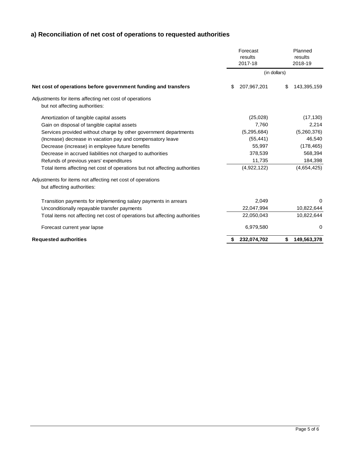### **a) Reconciliation of net cost of operations to requested authorities**

|                                                                                          | Forecast<br>results<br>2017-18 | Planned<br>results<br>2018-19 |  |
|------------------------------------------------------------------------------------------|--------------------------------|-------------------------------|--|
|                                                                                          | (in dollars)                   |                               |  |
| Net cost of operations before government funding and transfers                           | \$<br>207,967,201              | \$<br>143,395,159             |  |
| Adjustments for items affecting net cost of operations                                   |                                |                               |  |
| but not affecting authorities:                                                           |                                |                               |  |
| Amortization of tangible capital assets                                                  | (25,028)                       | (17, 130)                     |  |
| Gain on disposal of tangible capital assets                                              | 7,760                          | 2,214                         |  |
| Services provided without charge by other government departments                         | (5, 295, 684)                  | (5,260,376)                   |  |
| (Increase) decrease in vacation pay and compensatory leave                               | (55, 441)                      | 46,540                        |  |
| Decrease (increase) in employee future benefits                                          | 55,997                         | (178, 465)                    |  |
| Decrease in accrued liabilities not charged to authorities                               | 378,539                        | 568,394                       |  |
| Refunds of previous years' expenditures                                                  | 11,735                         | 184,398                       |  |
| Total items affecting net cost of operations but not affecting authorities               | (4,922,122)                    | (4,654,425)                   |  |
| Adjustments for items not affecting net cost of operations<br>but affecting authorities: |                                |                               |  |
| Transition payments for implementing salary payments in arrears                          | 2,049                          | $\Omega$                      |  |
| Unconditionally repayable transfer payments                                              | 22,047,994                     | 10,822,644                    |  |
| Total items not affecting net cost of operations but affecting authorities               | 22,050,043                     | 10,822,644                    |  |
| Forecast current year lapse                                                              | 6,979,580                      | 0                             |  |
| <b>Requested authorities</b>                                                             | 232,074,702<br>\$              | 149,563,378<br>\$             |  |